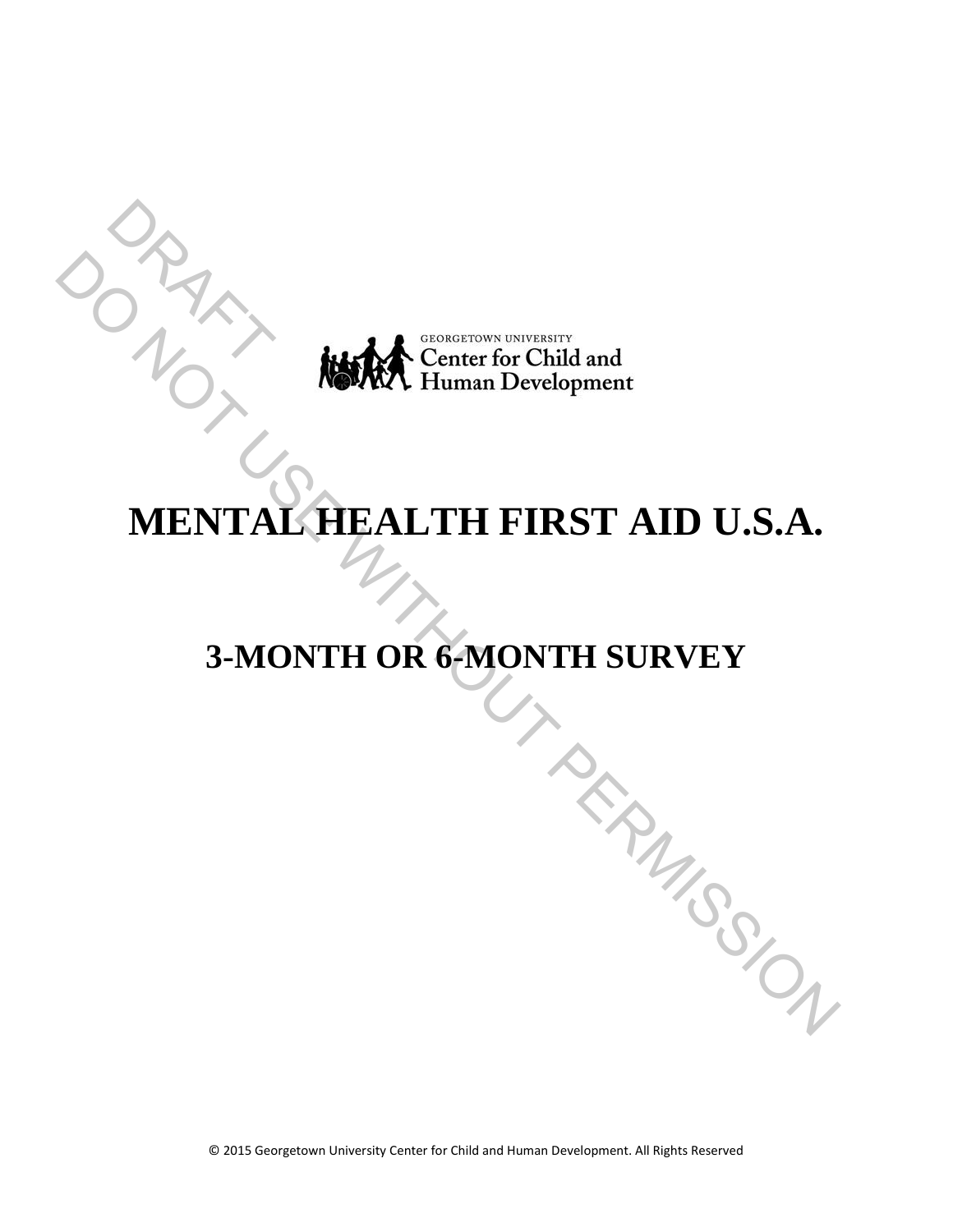

J. M.

# **MENTAL HEALTH FIRST AID U.S.A.**  Center for Child and<br>
Human Development<br>
LTH FIRST AID U.S.A.<br>
R 6-MONTH SURVEY

## **3-MONTH OR 6-MONTH SURVEY**

© 2015 Georgetown University Center for Child and Human Development. All Rights Reserved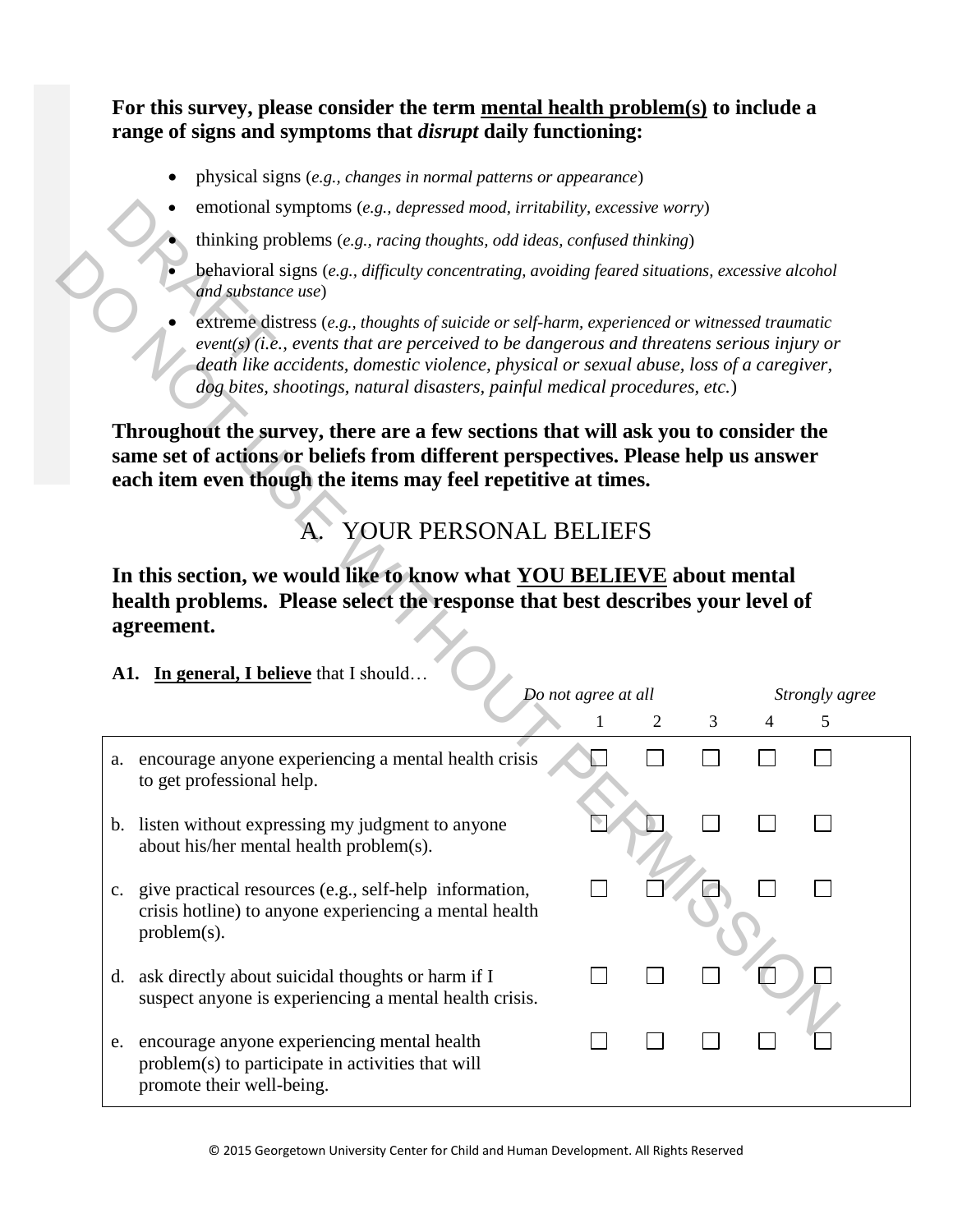**For this survey, please consider the term mental health problem(s) to include a range of signs and symptoms that** *disrupt* **daily functioning:** 

- physical signs (*e.g., changes in normal patterns or appearance*)
- emotional symptoms (*e.g., depressed mood, irritability, excessive worry*)
	- thinking problems (*e.g., racing thoughts, odd ideas, confused thinking*)
	- behavioral signs (*e.g., difficulty concentrating, avoiding feared situations, excessive alcohol and substance use*)
- extreme distress (*e.g., thoughts of suicide or self-harm, experienced or witnessed traumatic event(s) (i.e., events that are perceived to be dangerous and threatens serious injury or death like accidents, domestic violence, physical or sexual abuse, loss of a caregiver, dog bites, shootings, natural disasters, painful medical procedures, etc.*) emotional<br>
thinking pr<br>
behavioral<br>
and substant<br>
extreme divent(s) (i.e.<br>
death like

### A. YOUR PERSONAL BELIEFS

|                | behavioral signs (e.g., difficulty concentrating, avoiding feared situations, excessive alcohol<br>and substance use)                                                                                                                                                                                                                                                |                          |   |   |   |                     |
|----------------|----------------------------------------------------------------------------------------------------------------------------------------------------------------------------------------------------------------------------------------------------------------------------------------------------------------------------------------------------------------------|--------------------------|---|---|---|---------------------|
|                | extreme distress (e.g., thoughts of suicide or self-harm, experienced or witnessed traumatic<br>$event(s)$ (i.e., events that are perceived to be dangerous and threatens serious injury or<br>death like accidents, domestic violence, physical or sexual abuse, loss of a caregiver,<br>dog bites, shootings, natural disasters, painful medical procedures, etc.) |                          |   |   |   |                     |
|                | Throughout the survey, there are a few sections that will ask you to consider the<br>same set of actions or beliefs from different perspectives. Please help us answer<br>each item even though the items may feel repetitive at times.                                                                                                                              |                          |   |   |   |                     |
|                | YOUR PERSONAL BELIEFS                                                                                                                                                                                                                                                                                                                                                |                          |   |   |   |                     |
|                | In this section, we would like to know what YOU BELIEVE about mental<br>health problems. Please select the response that best describes your level of<br>agreement.                                                                                                                                                                                                  |                          |   |   |   |                     |
|                | A1. In general, I believe that I should                                                                                                                                                                                                                                                                                                                              |                          |   |   |   |                     |
|                |                                                                                                                                                                                                                                                                                                                                                                      |                          |   |   |   |                     |
|                |                                                                                                                                                                                                                                                                                                                                                                      | Do not agree at all<br>1 | 2 | 3 | 4 | Strongly agree<br>5 |
| a.             | encourage anyone experiencing a mental health crisis<br>to get professional help.                                                                                                                                                                                                                                                                                    |                          |   |   |   |                     |
|                | b. listen without expressing my judgment to anyone<br>about his/her mental health problem(s).                                                                                                                                                                                                                                                                        |                          |   |   |   |                     |
| $\mathbf{c}$ . | give practical resources (e.g., self-help information,<br>crisis hotline) to anyone experiencing a mental health<br>$problem(s)$ .                                                                                                                                                                                                                                   |                          |   |   |   |                     |
|                | d. ask directly about suicidal thoughts or harm if I<br>suspect anyone is experiencing a mental health crisis.                                                                                                                                                                                                                                                       |                          |   |   |   |                     |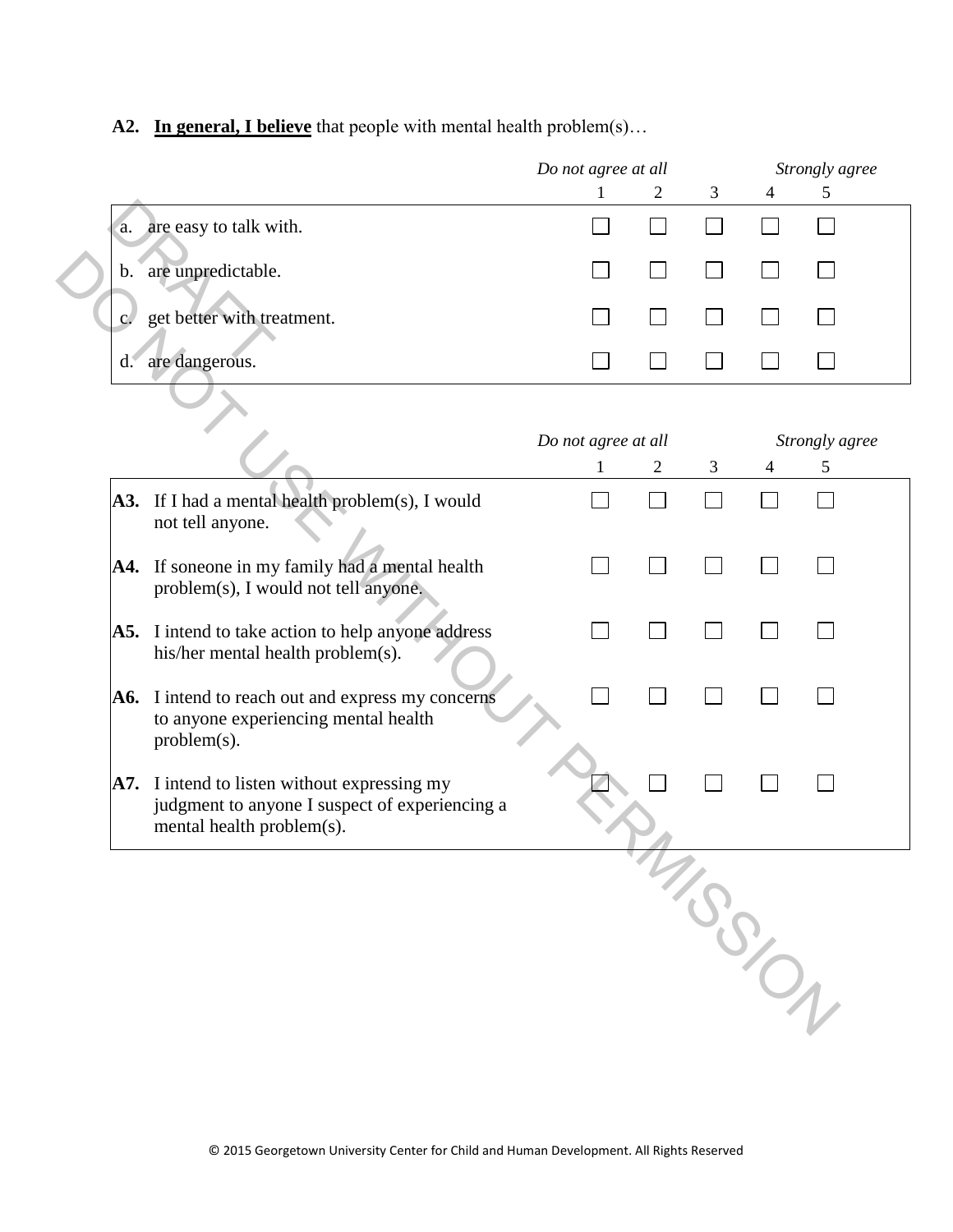A2. In general, I believe that people with mental health problem(s)...

|                                                                                                                             | Do not agree at all | 1 | 2              | 3 | 4 | Strongly agree<br>5 |
|-----------------------------------------------------------------------------------------------------------------------------|---------------------|---|----------------|---|---|---------------------|
| a. are easy to talk with.                                                                                                   |                     |   |                |   |   |                     |
| b. are unpredictable.                                                                                                       |                     |   |                |   |   |                     |
| get better with treatment.                                                                                                  |                     |   |                |   |   |                     |
| d. are dangerous.                                                                                                           |                     |   |                |   |   |                     |
|                                                                                                                             | Do not agree at all |   |                |   |   | Strongly agree      |
|                                                                                                                             |                     | 1 | $\overline{2}$ | 3 | 4 | 5                   |
| A3. If I had a mental health problem(s), I would<br>not tell anyone.                                                        |                     |   |                |   |   |                     |
| A4. If soneone in my family had a mental health<br>problem(s), I would not tell anyone.                                     |                     |   |                |   |   |                     |
| A5. I intend to take action to help anyone address<br>his/her mental health problem(s).                                     |                     |   |                |   |   |                     |
| A6. I intend to reach out and express my concerns<br>to anyone experiencing mental health<br>$problem(s)$ .                 |                     |   |                |   |   |                     |
| A7. I intend to listen without expressing my<br>judgment to anyone I suspect of experiencing a<br>mental health problem(s). |                     |   |                |   |   |                     |
|                                                                                                                             |                     |   |                |   |   | MISSION             |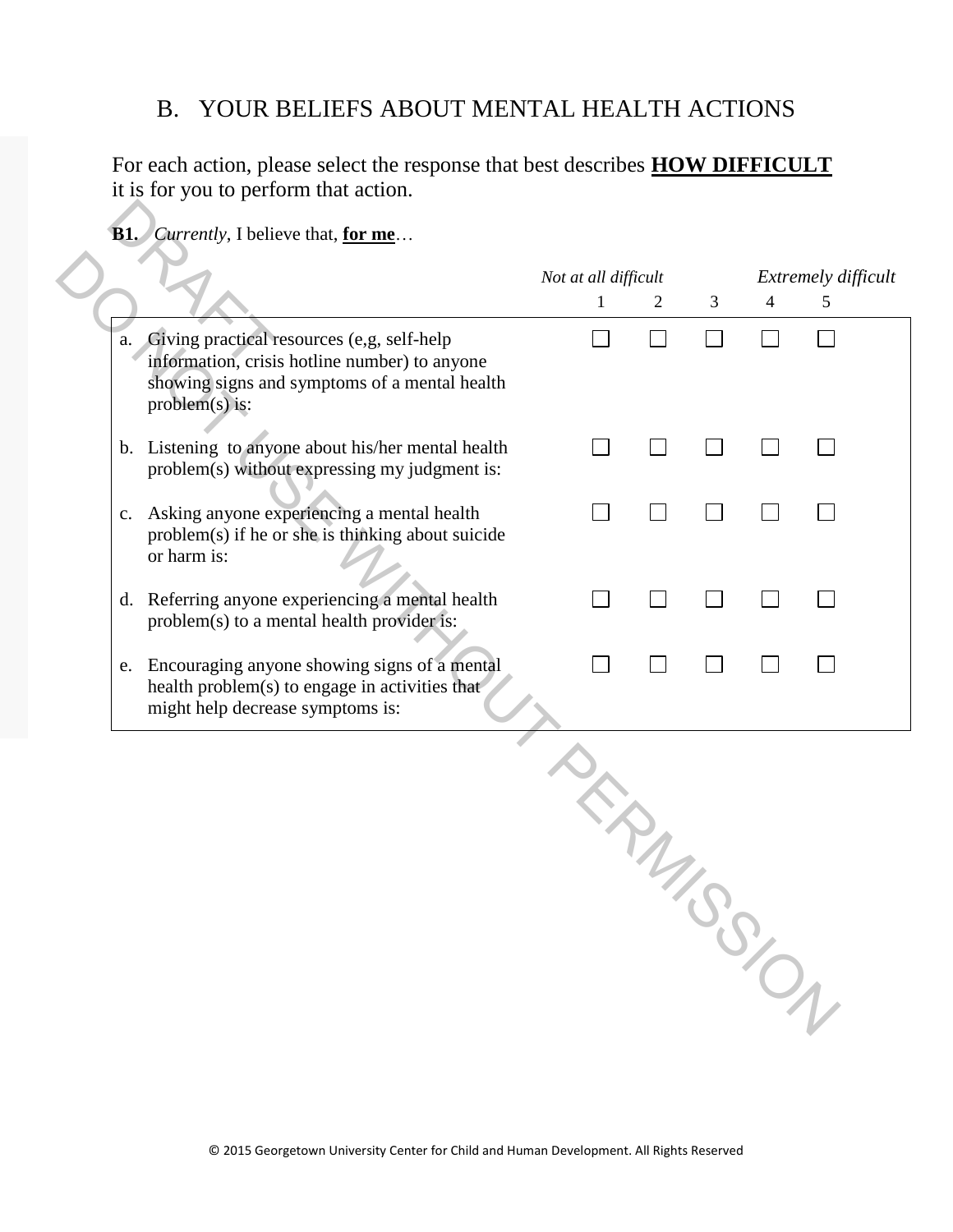### B. YOUR BELIEFS ABOUT MENTAL HEALTH ACTIONS

For each action, please select the response that best describes **HOW DIFFICULT** it is for you to perform that action.

|    |                                                                                                                                                                   | Not at all difficult |                |   |                | Extremely difficult |
|----|-------------------------------------------------------------------------------------------------------------------------------------------------------------------|----------------------|----------------|---|----------------|---------------------|
|    |                                                                                                                                                                   | 1                    | $\overline{2}$ | 3 | $\overline{4}$ | 5                   |
|    | a. Giving practical resources (e,g, self-help<br>information, crisis hotline number) to anyone<br>showing signs and symptoms of a mental health<br>problem(s) is: |                      |                |   |                |                     |
|    | b. Listening to anyone about his/her mental health<br>problem(s) without expressing my judgment is:                                                               |                      |                |   |                |                     |
| c. | Asking anyone experiencing a mental health<br>problem(s) if he or she is thinking about suicide<br>or harm is:                                                    |                      |                |   |                |                     |
| d. | Referring anyone experiencing a mental health<br>problem(s) to a mental health provider is:                                                                       |                      |                |   |                |                     |
|    | e. Encouraging anyone showing signs of a mental<br>health problem(s) to engage in activities that<br>might help decrease symptoms is:                             |                      |                |   |                |                     |
|    |                                                                                                                                                                   |                      |                |   |                | <b>ESSER</b>        |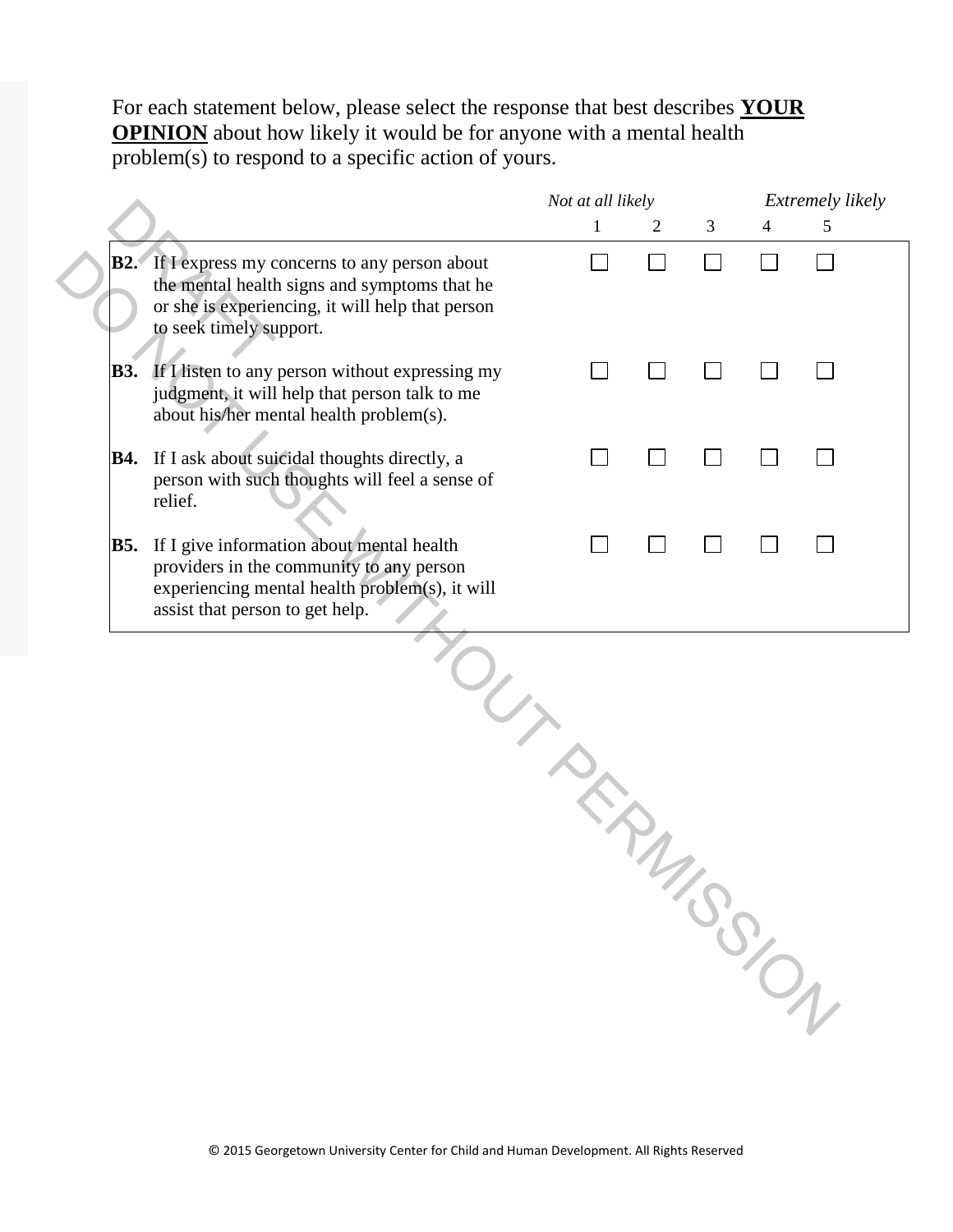For each statement below, please select the response that best describes **YOUR OPINION** about how likely it would be for anyone with a mental health problem(s) to respond to a specific action of yours.

|                                                                                                                                                                                                                                                                                                                                                                                                                                                                       | Not at all likely |   |   |                | Extremely likely |  |
|-----------------------------------------------------------------------------------------------------------------------------------------------------------------------------------------------------------------------------------------------------------------------------------------------------------------------------------------------------------------------------------------------------------------------------------------------------------------------|-------------------|---|---|----------------|------------------|--|
|                                                                                                                                                                                                                                                                                                                                                                                                                                                                       | $\mathbf{1}$      | 2 | 3 | $\overline{4}$ | 5                |  |
| If I express my concerns to any person about<br>the mental health signs and symptoms that he<br>or she is experiencing, it will help that person<br>to seek timely support.<br>judgment, it will help that person talk to me<br>about his/her mental health problem(s).<br>person with such thoughts will feel a sense of<br>relief.<br>providers in the community to any person<br>experiencing mental health problem(s), it will<br>assist that person to get help. |                   |   |   |                |                  |  |
| B2.<br><b>B3.</b> If I listen to any person without expressing my<br>If I ask about suicidal thoughts directly, a<br><b>B4.</b><br><b>B5.</b> If I give information about mental health                                                                                                                                                                                                                                                                               |                   |   |   |                |                  |  |
|                                                                                                                                                                                                                                                                                                                                                                                                                                                                       |                   |   |   |                |                  |  |
|                                                                                                                                                                                                                                                                                                                                                                                                                                                                       |                   |   |   |                |                  |  |
|                                                                                                                                                                                                                                                                                                                                                                                                                                                                       |                   |   |   |                | ICON             |  |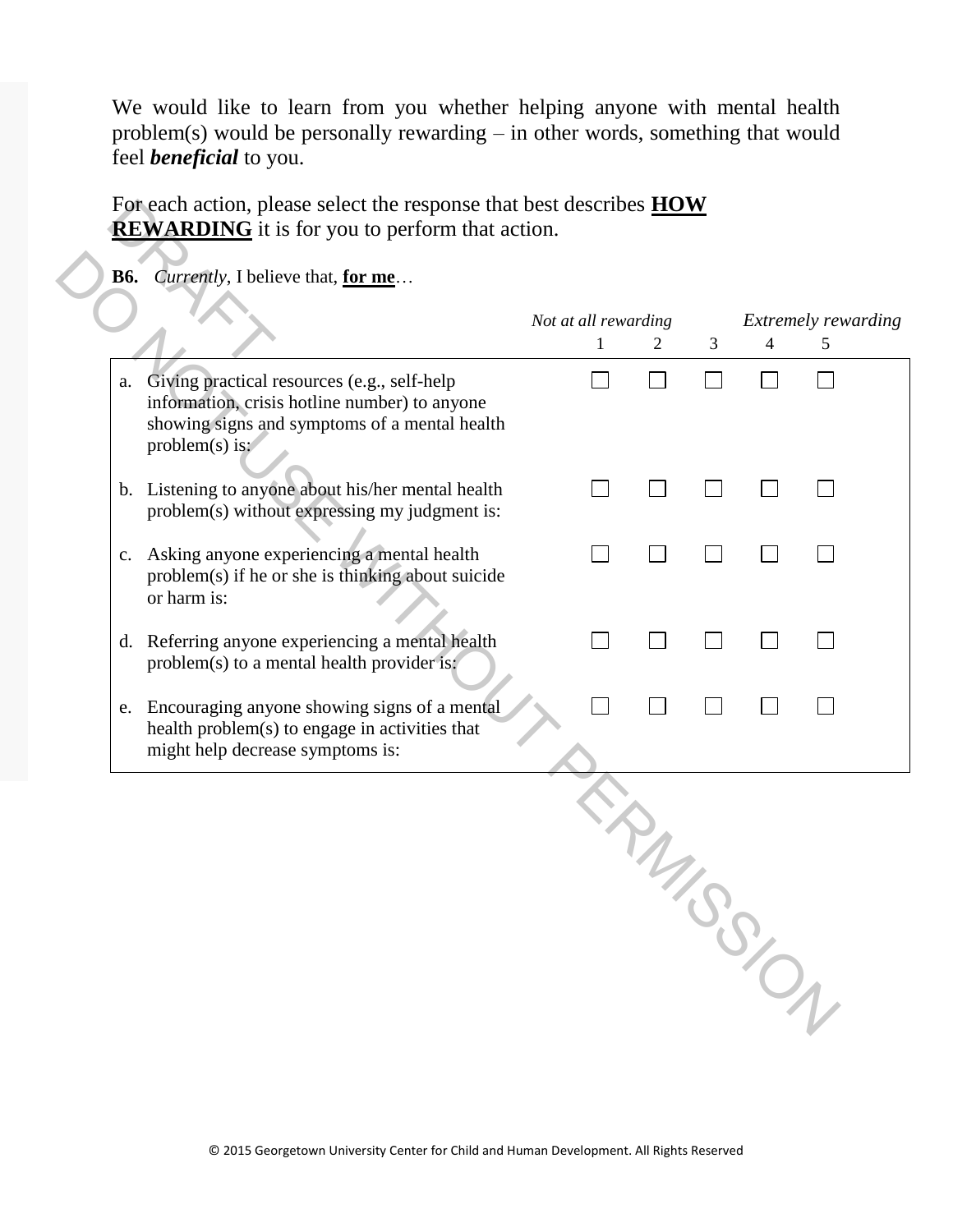We would like to learn from you whether helping anyone with mental health problem(s) would be personally rewarding – in other words, something that would feel *beneficial* to you.

For each action, please select the response that best describes **HOW REWARDING** it is for you to perform that action.

|             |                                                                                                                                                                    | Not at all rewarding |                |   |               | Extremely rewarding |
|-------------|--------------------------------------------------------------------------------------------------------------------------------------------------------------------|----------------------|----------------|---|---------------|---------------------|
|             |                                                                                                                                                                    | 1                    | $\overline{2}$ | 3 | 4             | 5                   |
| a.          | Giving practical resources (e.g., self-help<br>information, crisis hotline number) to anyone<br>showing signs and symptoms of a mental health<br>problem $(s)$ is: |                      |                |   |               |                     |
| $b_{\cdot}$ | Listening to anyone about his/her mental health<br>problem(s) without expressing my judgment is:                                                                   |                      |                |   |               |                     |
| $c_{\cdot}$ | Asking anyone experiencing a mental health<br>problem(s) if he or she is thinking about suicide<br>or harm is:                                                     |                      |                |   |               |                     |
| d.          | Referring anyone experiencing a mental health<br>problem(s) to a mental health provider is:                                                                        |                      |                |   |               |                     |
| e.          | Encouraging anyone showing signs of a mental<br>health problem(s) to engage in activities that<br>might help decrease symptoms is:                                 |                      |                |   |               |                     |
|             |                                                                                                                                                                    |                      |                |   | <b>SSICIL</b> |                     |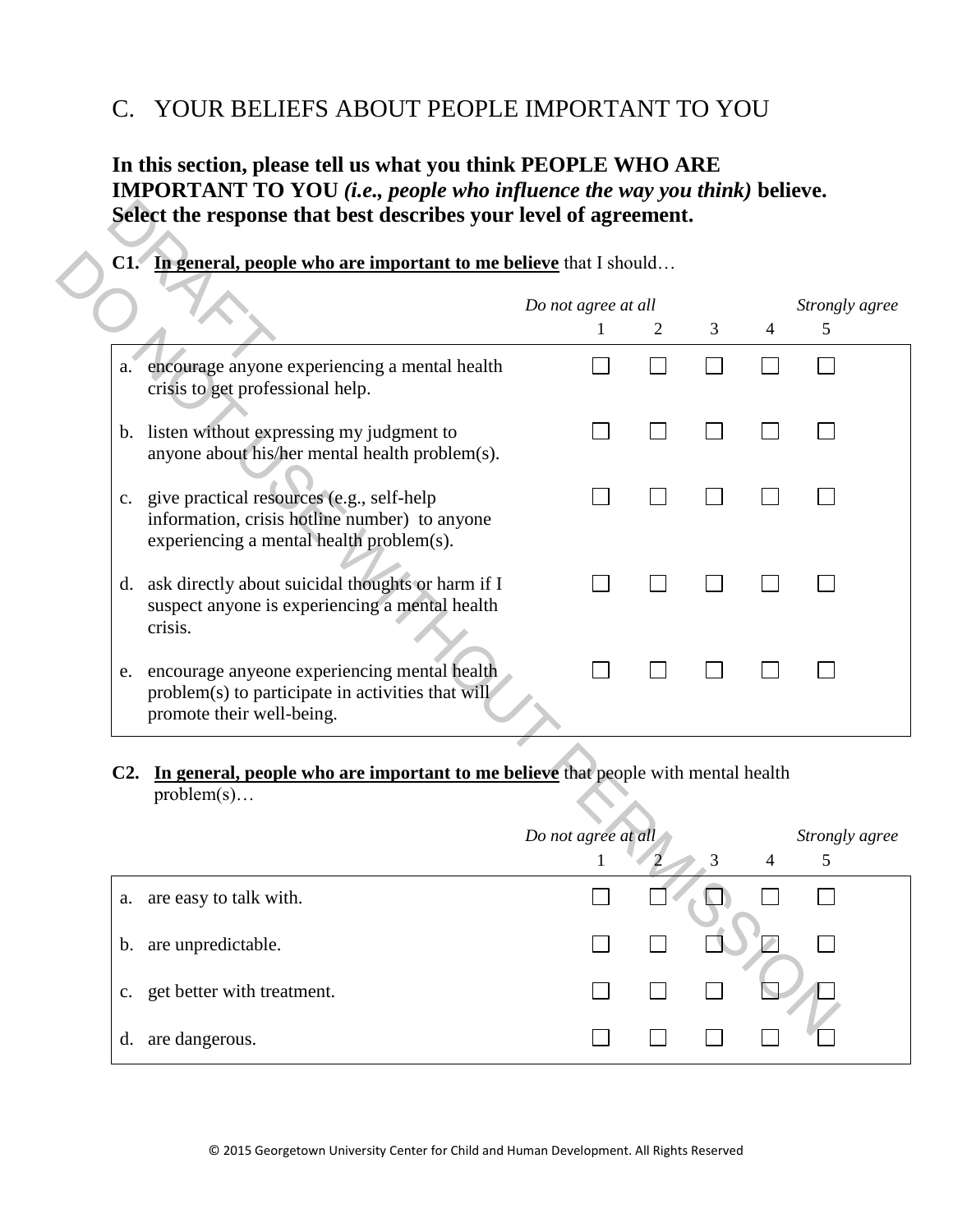### C. YOUR BELIEFS ABOUT PEOPLE IMPORTANT TO YOU

### **In this section, please tell us what you think PEOPLE WHO ARE IMPORTANT TO YOU** *(i.e., people who influence the way you think)* **believe.**

|             |                                                                                                                                           | Do not agree at all |   |   |   | Strongly agree      |
|-------------|-------------------------------------------------------------------------------------------------------------------------------------------|---------------------|---|---|---|---------------------|
|             |                                                                                                                                           | 1                   | 2 | 3 | 4 | 5                   |
| a.          | encourage anyone experiencing a mental health<br>crisis to get professional help.                                                         |                     |   |   |   |                     |
| $b_{\cdot}$ | listen without expressing my judgment to<br>anyone about his/her mental health problem(s).                                                |                     |   |   |   |                     |
|             | c. give practical resources (e.g., self-help<br>information, crisis hotline number) to anyone<br>experiencing a mental health problem(s). |                     |   |   |   |                     |
| d.          | ask directly about suicidal thoughts or harm if I<br>suspect anyone is experiencing a mental health<br>crisis.                            |                     |   |   |   |                     |
| e.          | encourage anyeone experiencing mental health<br>problem(s) to participate in activities that will<br>promote their well-being.            |                     |   |   |   |                     |
| C2.         | In general, people who are important to me believe that people with mental health                                                         |                     |   |   |   |                     |
|             | $problem(s) \dots$                                                                                                                        |                     |   |   |   |                     |
|             |                                                                                                                                           | Do not agree at all |   | 3 | 4 | Strongly agree<br>5 |
|             | a. are easy to talk with.                                                                                                                 |                     |   |   |   |                     |
|             | b. are unpredictable.                                                                                                                     |                     |   |   |   |                     |
|             | c. get better with treatment.                                                                                                             |                     |   |   |   |                     |
|             |                                                                                                                                           |                     |   |   |   |                     |

### **C1. In general, people who are important to me believe** that I should…

### **C2. In general, people who are important to me believe** that people with mental health problem(s)…

|                                      | Do not agree at all | Strongly agree |
|--------------------------------------|---------------------|----------------|
|                                      | 3<br>4              | 5              |
| are easy to talk with.<br>a.         |                     |                |
| are unpredictable.<br>$\mathbf{b}$ . |                     |                |
| c. get better with treatment.        |                     |                |
| are dangerous.<br>d.                 |                     |                |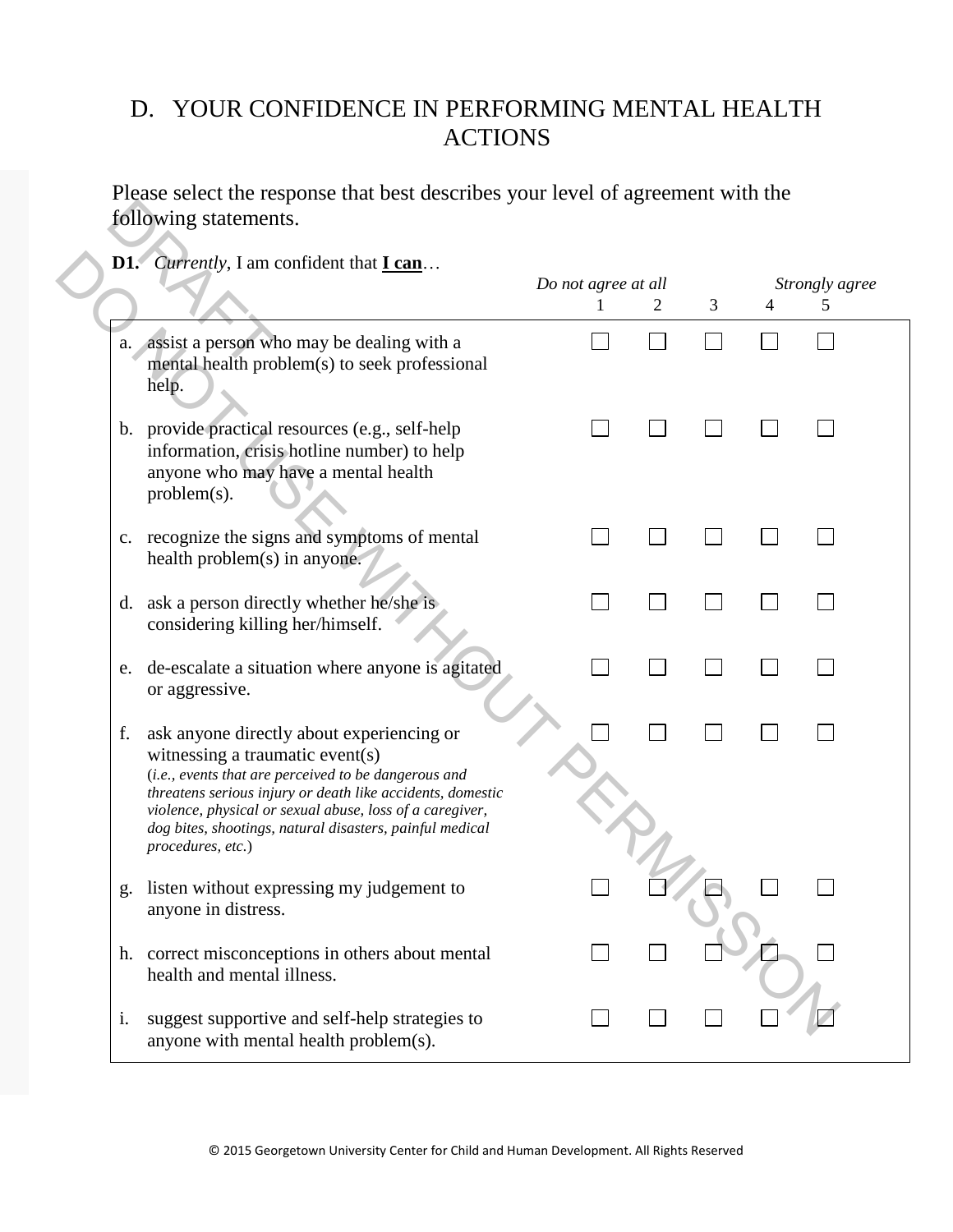### D. YOUR CONFIDENCE IN PERFORMING MENTAL HEALTH **ACTIONS**

Please select the response that best describes your level of agreement with the

|    | <b>D1.</b> Currently, I am confident that $I can$                                                                                                                                                                                                                                                                                               | Do not agree at all |   |   |   | Strongly agree |
|----|-------------------------------------------------------------------------------------------------------------------------------------------------------------------------------------------------------------------------------------------------------------------------------------------------------------------------------------------------|---------------------|---|---|---|----------------|
|    |                                                                                                                                                                                                                                                                                                                                                 | 1                   | 2 | 3 | 4 | 5              |
| a. | assist a person who may be dealing with a<br>mental health problem(s) to seek professional<br>help.                                                                                                                                                                                                                                             |                     |   |   |   |                |
|    | b. provide practical resources (e.g., self-help<br>information, crisis hotline number) to help<br>anyone who may have a mental health<br>$problem(s)$ .                                                                                                                                                                                         |                     |   |   |   |                |
|    | c. recognize the signs and symptoms of mental<br>health problem(s) in anyone.                                                                                                                                                                                                                                                                   |                     |   |   |   |                |
| d. | ask a person directly whether he/she is<br>considering killing her/himself.                                                                                                                                                                                                                                                                     |                     |   |   |   |                |
| e. | de-escalate a situation where anyone is agitated<br>or aggressive.                                                                                                                                                                                                                                                                              |                     |   |   |   |                |
| f. | ask anyone directly about experiencing or<br>witnessing a traumatic event(s)<br>(i.e., events that are perceived to be dangerous and<br>threatens serious injury or death like accidents, domestic<br>violence, physical or sexual abuse, loss of a caregiver,<br>dog bites, shootings, natural disasters, painful medical<br>procedures, etc.) |                     |   |   |   |                |
| g. | listen without expressing my judgement to<br>anyone in distress.                                                                                                                                                                                                                                                                                |                     |   |   |   |                |
| h. | correct misconceptions in others about mental<br>health and mental illness.                                                                                                                                                                                                                                                                     |                     |   |   |   |                |
| i. | suggest supportive and self-help strategies to<br>anyone with mental health problem(s).                                                                                                                                                                                                                                                         |                     |   |   |   |                |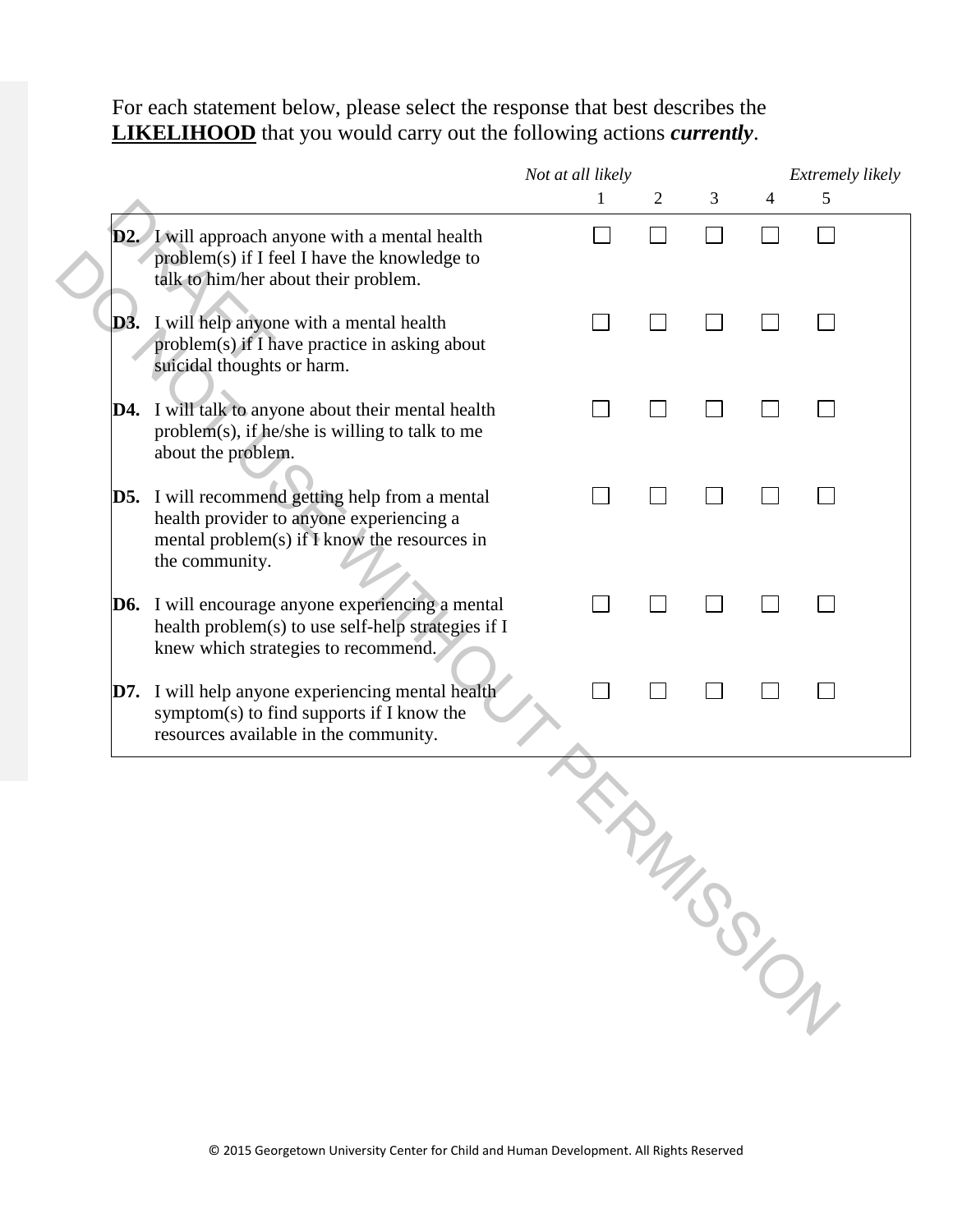For each statement below, please select the response that best describes the **LIKELIHOOD** that you would carry out the following actions *currently*.

|     |                                                                                                                                                                      | Not at all likely |  |   |   | Extremely likely |         |
|-----|----------------------------------------------------------------------------------------------------------------------------------------------------------------------|-------------------|--|---|---|------------------|---------|
|     |                                                                                                                                                                      |                   |  | 2 | 3 | 4                | 5       |
|     | <b>D2.</b> I will approach anyone with a mental health<br>problem(s) if I feel I have the knowledge to<br>talk to him/her about their problem.                       |                   |  |   |   |                  |         |
| D3. | I will help anyone with a mental health<br>problem(s) if I have practice in asking about<br>suicidal thoughts or harm.                                               |                   |  |   |   |                  |         |
| D4. | I will talk to anyone about their mental health<br>$problem(s)$ , if he/she is willing to talk to me<br>about the problem.                                           |                   |  |   |   |                  |         |
|     | <b>D5.</b> I will recommend getting help from a mental<br>health provider to anyone experiencing a<br>mental problem(s) if I know the resources in<br>the community. |                   |  |   |   |                  |         |
| D6. | I will encourage anyone experiencing a mental<br>health problem(s) to use self-help strategies if I<br>knew which strategies to recommend.                           |                   |  |   |   |                  |         |
|     | <b>D7.</b> I will help anyone experiencing mental health<br>symptom(s) to find supports if I know the<br>resources available in the community.                       |                   |  |   |   |                  |         |
|     |                                                                                                                                                                      |                   |  |   |   |                  | MISSION |
|     |                                                                                                                                                                      |                   |  |   |   |                  |         |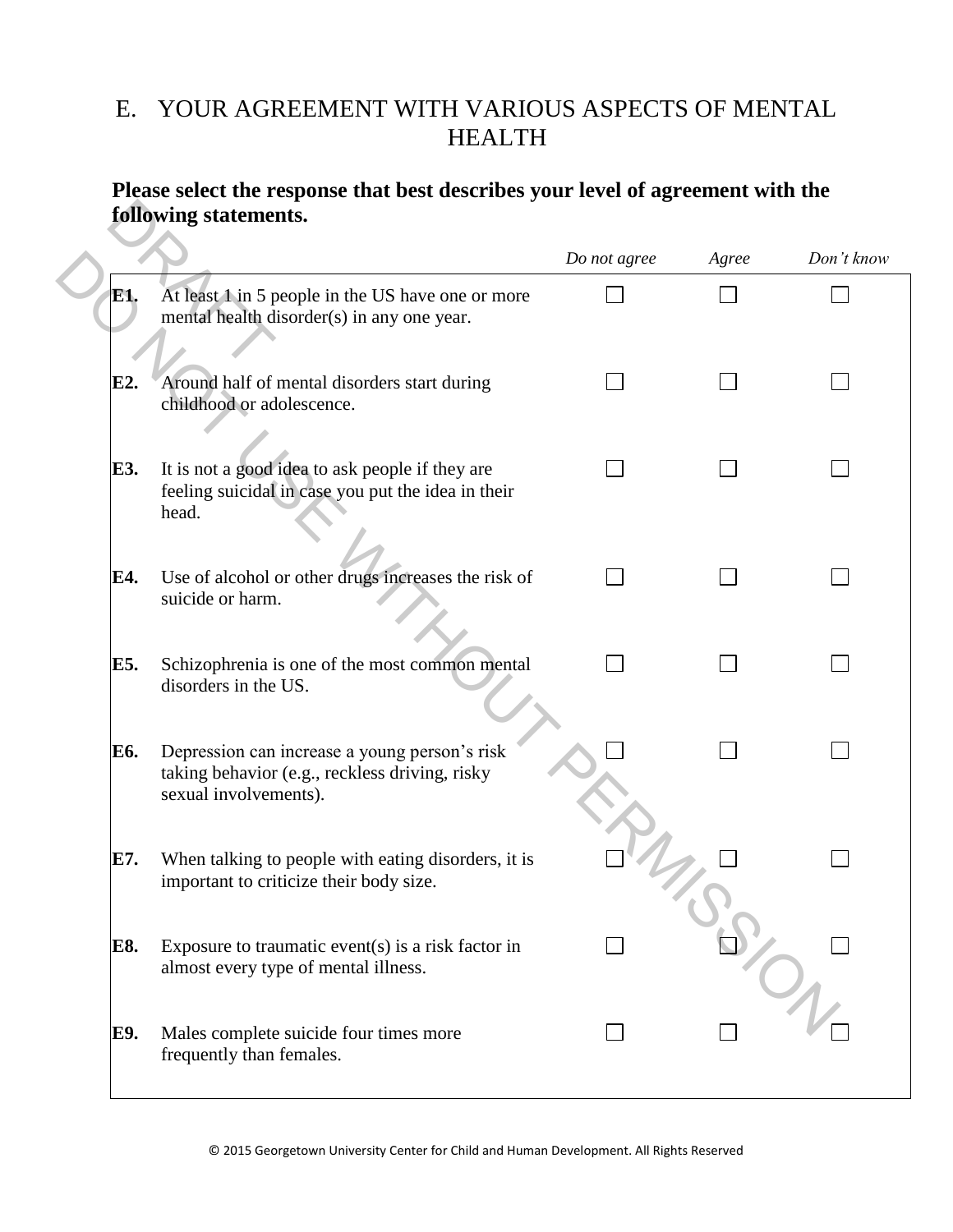### E. YOUR AGREEMENT WITH VARIOUS ASPECTS OF MENTAL HEALTH

# **Please select the response that best describes your level of agreement with the**

|     |                                                                                                                          | Do not agree | Agree | Don't know           |
|-----|--------------------------------------------------------------------------------------------------------------------------|--------------|-------|----------------------|
| E1. | At least 1 in 5 people in the US have one or more<br>mental health disorder(s) in any one year.                          |              |       |                      |
| E2. | Around half of mental disorders start during<br>childhood or adolescence.                                                |              |       |                      |
| E3. | It is not a good idea to ask people if they are<br>feeling suicidal in case you put the idea in their<br>head.           |              |       |                      |
| E4. | Use of alcohol or other drugs increases the risk of<br>suicide or harm.                                                  |              |       |                      |
| E5. | Schizophrenia is one of the most common mental<br>disorders in the US.                                                   |              |       |                      |
| E6. | Depression can increase a young person's risk<br>taking behavior (e.g., reckless driving, risky<br>sexual involvements). |              |       |                      |
| E7. | When talking to people with eating disorders, it is<br>important to criticize their body size.                           |              |       |                      |
| E8. | Exposure to traumatic event(s) is a risk factor in<br>almost every type of mental illness.                               |              |       | $O_{\!\!{\cal V}_n}$ |
| E9. | Males complete suicide four times more<br>frequently than females.                                                       |              |       |                      |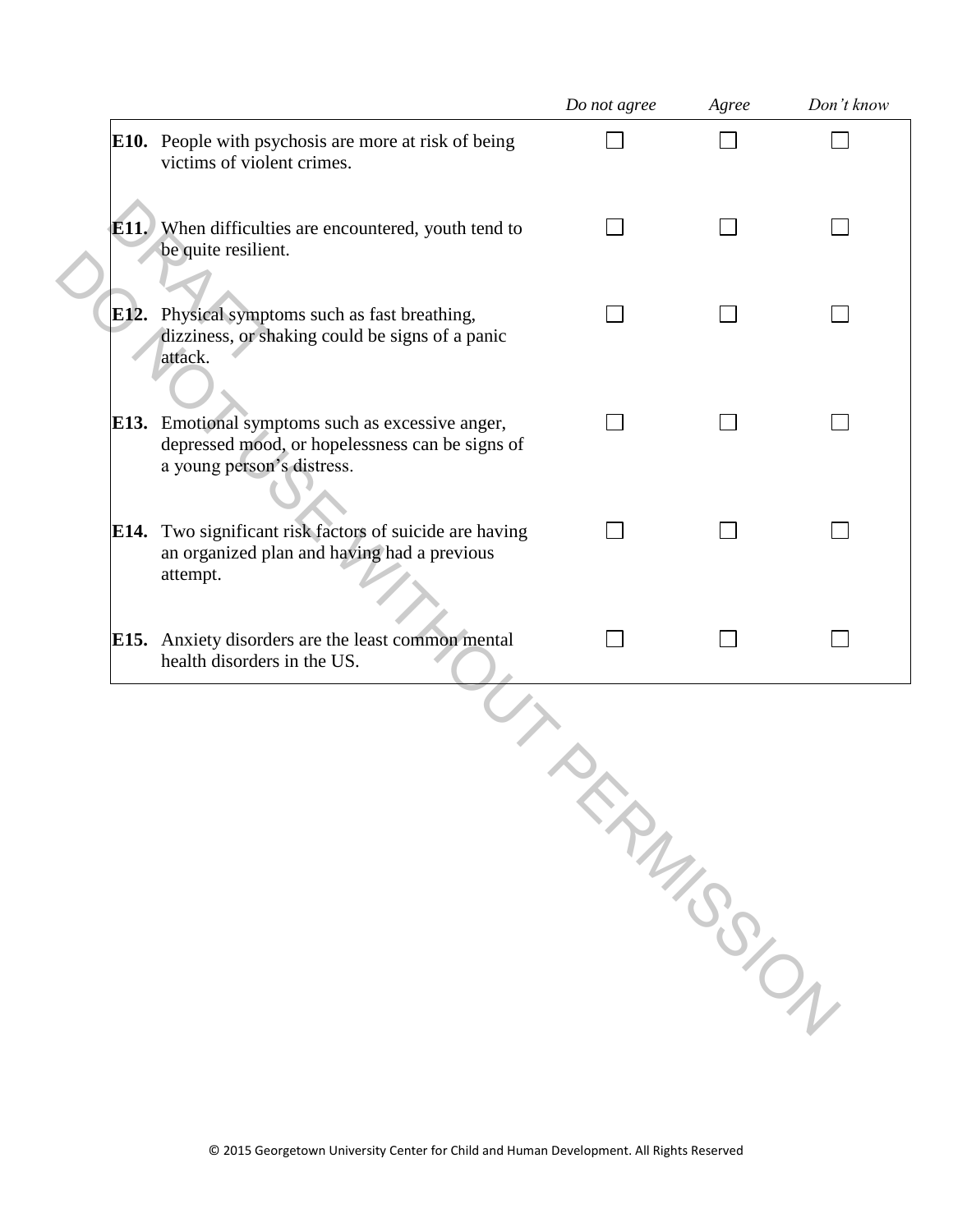|      |                                                                                                                                   | Do not agree        | Agree | Don't know |
|------|-----------------------------------------------------------------------------------------------------------------------------------|---------------------|-------|------------|
|      | E10. People with psychosis are more at risk of being<br>victims of violent crimes.                                                |                     |       |            |
| E11. | When difficulties are encountered, youth tend to<br>be quite resilient.                                                           |                     |       |            |
|      | E12. Physical symptoms such as fast breathing,<br>dizziness, or shaking could be signs of a panic<br>attack.                      |                     |       |            |
|      | E13. Emotional symptoms such as excessive anger,<br>depressed mood, or hopelessness can be signs of<br>a young person's distress. |                     |       |            |
|      | E14. Two significant risk factors of suicide are having<br>an organized plan and having had a previous<br>attempt.                |                     |       |            |
|      | E15. Anxiety disorders are the least common mental<br>health disorders in the US.                                                 |                     |       |            |
|      |                                                                                                                                   | <b>ENTRY SON DR</b> |       |            |
|      |                                                                                                                                   |                     |       |            |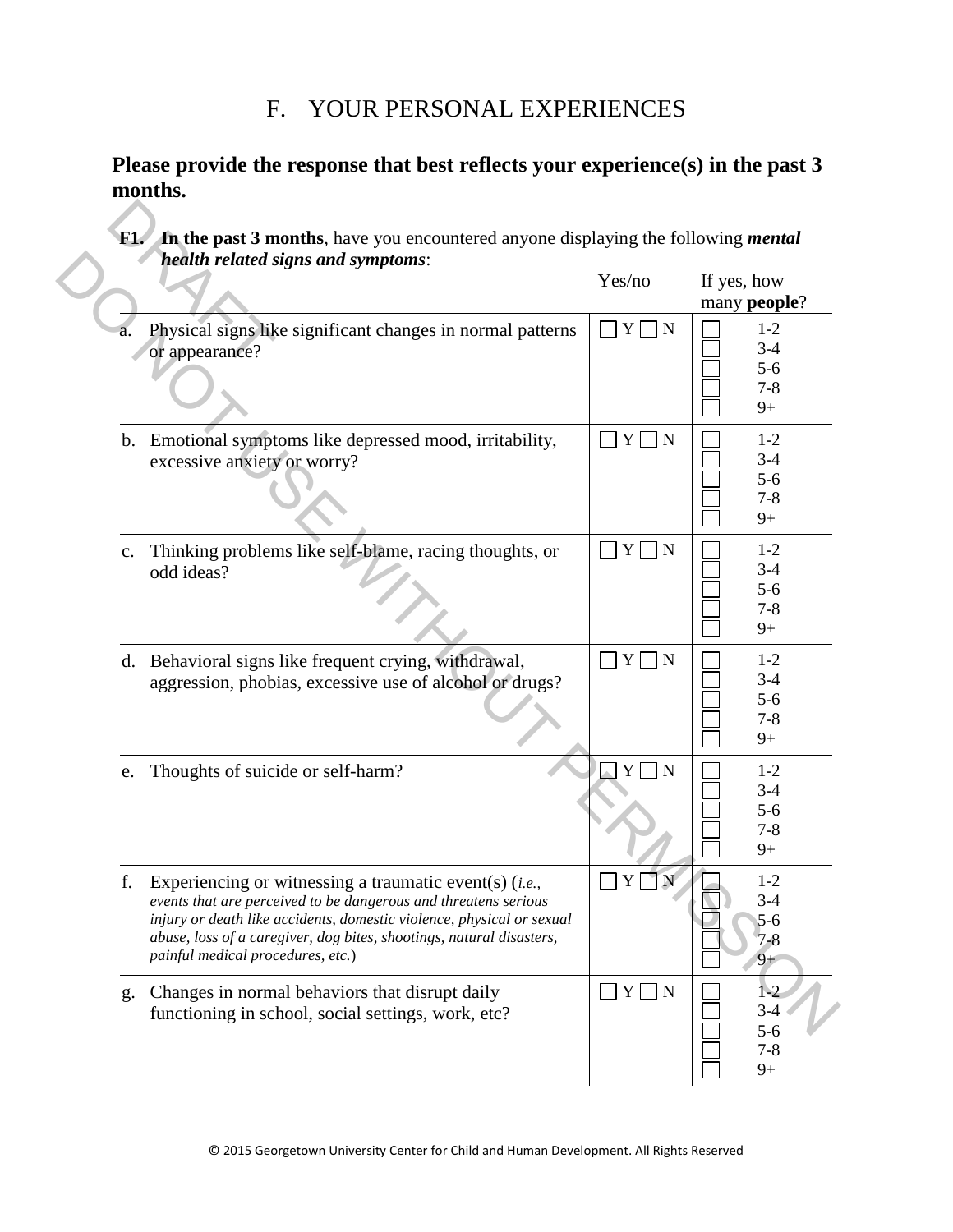### F. YOUR PERSONAL EXPERIENCES

### **Please provide the response that best reflects your experience(s) in the past 3 months.**

### **F1. In the past 3 months**, have you encountered anyone displaying the following *mental health related signs and symptoms*:

|    |                                                                                                                                                                                                                                                                                                                   | Yes/no                       | If yes, how<br>many people?                    |
|----|-------------------------------------------------------------------------------------------------------------------------------------------------------------------------------------------------------------------------------------------------------------------------------------------------------------------|------------------------------|------------------------------------------------|
| a. | Physical signs like significant changes in normal patterns<br>or appearance?                                                                                                                                                                                                                                      | Y<br> N                      | $1-2$<br>$3-4$<br>$5 - 6$<br>$7 - 8$<br>$9+$   |
|    | b. Emotional symptoms like depressed mood, irritability,<br>excessive anxiety or worry?                                                                                                                                                                                                                           | Y<br>$\mathbf N$             | $1 - 2$<br>$3-4$<br>$5 - 6$<br>$7 - 8$<br>$9+$ |
| c. | Thinking problems like self-blame, racing thoughts, or<br>odd ideas?                                                                                                                                                                                                                                              | Y<br>N                       | $1 - 2$<br>$3-4$<br>$5 - 6$<br>$7 - 8$<br>$9+$ |
| d. | Behavioral signs like frequent crying, withdrawal,<br>aggression, phobias, excessive use of alcohol or drugs?                                                                                                                                                                                                     | Y<br>$\mathbf N$             | $1 - 2$<br>$3-4$<br>$5 - 6$<br>$7 - 8$<br>$9+$ |
| e. | Thoughts of suicide or self-harm?                                                                                                                                                                                                                                                                                 | Y<br>N                       | $1 - 2$<br>$3-4$<br>$5 - 6$<br>$7 - 8$<br>$9+$ |
| f. | Experiencing or witnessing a traumatic event(s) $(i.e.,$<br>events that are perceived to be dangerous and threatens serious<br>injury or death like accidents, domestic violence, physical or sexual<br>abuse, loss of a caregiver, dog bites, shootings, natural disasters,<br>painful medical procedures, etc.) | N                            | $1 - 2$<br>$3-4$<br>$5 - 6$<br>$7 - 8$<br>$9+$ |
| g. | Changes in normal behaviors that disrupt daily<br>functioning in school, social settings, work, etc?                                                                                                                                                                                                              | Y<br>$\overline{\mathbf{N}}$ | $1 - 2$<br>$3-4$<br>$5 - 6$<br>$7 - 8$<br>$9+$ |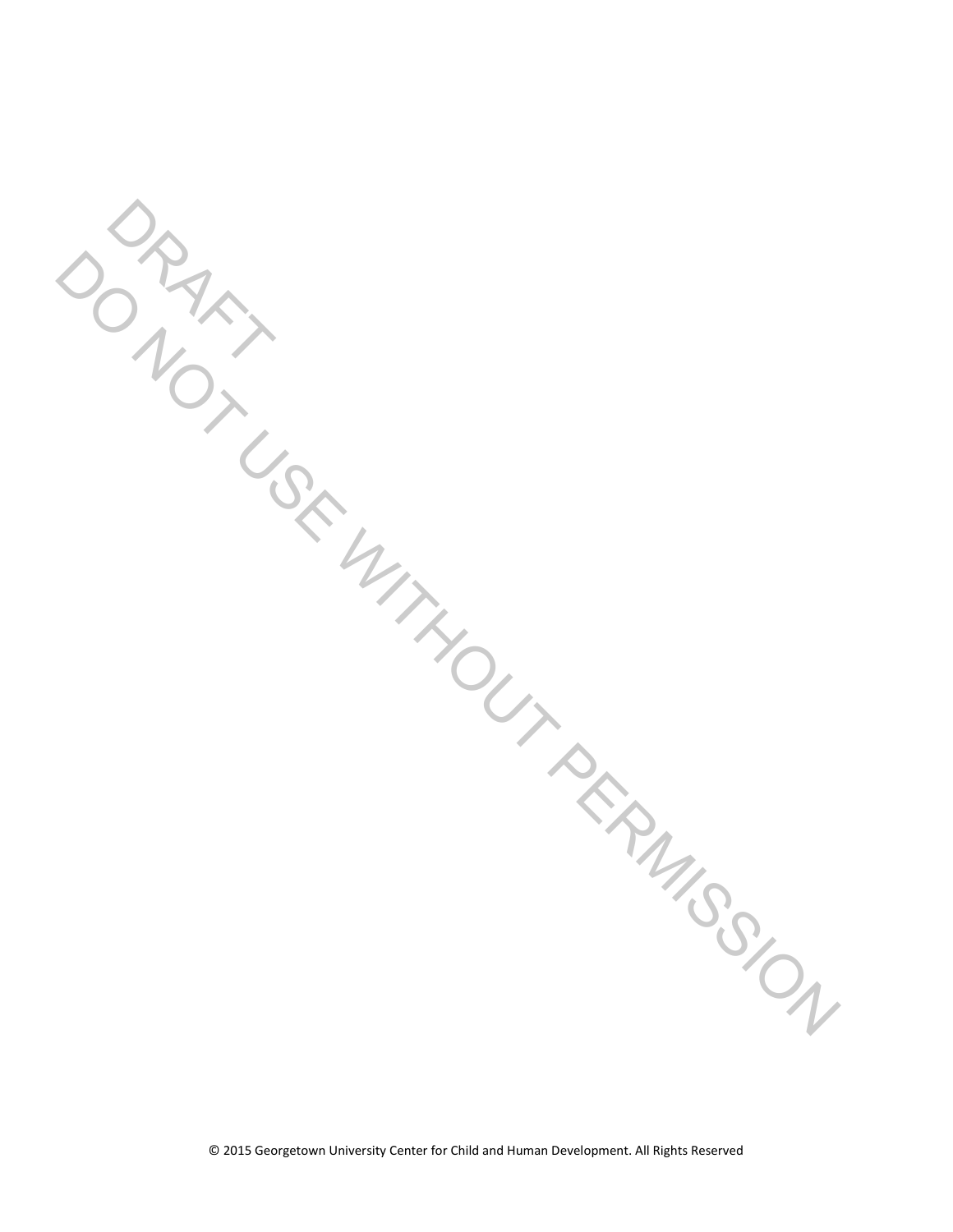ORANY DO NOT USE WITHOUT PERMISSION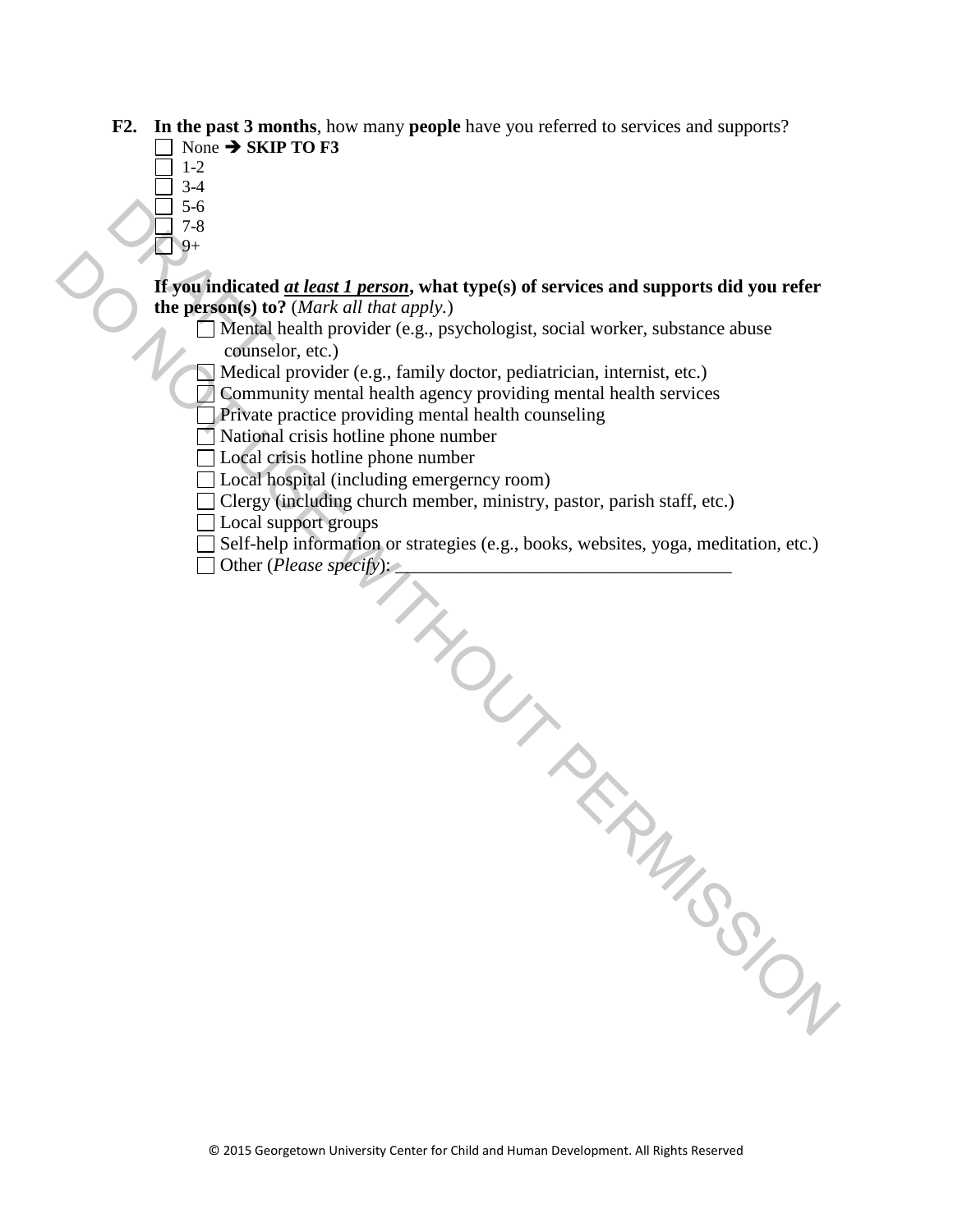- **F2. In the past 3 months**, how many **people** have you referred to services and supports? None  $\rightarrow$  **SKIP TO F3** 
	- 1-2
	- 3-4
	- 5-6
	- 7-8  $9+$

# **If you indicated** *at least 1 person***, what type(s) of services and supports did you refer the person(s) to?** (*Mark all that apply.*)  $\begin{array}{r} 5-6 \\ 7-8 \\ 9+ \\ \end{array}$ <br>
If you indicated<br>
the person(s) to<br>  $\begin{array}{r} \text{Mental} \\ \text{course} \end{array}$ The propison of the *Interior* and types) of services and supports did you refer<br>the pressume) to *Ustar all heat* rapply.)<br>The propison of the *December (e.g., psychologist*, social worker, substance abuse<br>connector, etc.

- Mental health provider (e.g., psychologist, social worker, substance abuse counselor, etc.)
- Medical provider (e.g., family doctor, pediatrician, internist, etc.)
	- Community mental health agency providing mental health services
	- $\Box$  Private practice providing mental health counseling
	- National crisis hotline phone number
	- Local crisis hotline phone number
	- □ Local hospital (including emergerncy room)
	- $\Box$  Clergy (including church member, ministry, pastor, parish staff, etc.)
	- Local support groups
	- Self-help information or strategies (e.g., books, websites, yoga, meditation, etc.)
	- Other (*Please specify*): \_\_\_\_\_\_\_\_\_\_\_\_\_\_\_\_\_\_\_\_\_\_\_\_\_\_\_\_\_\_\_\_\_\_\_\_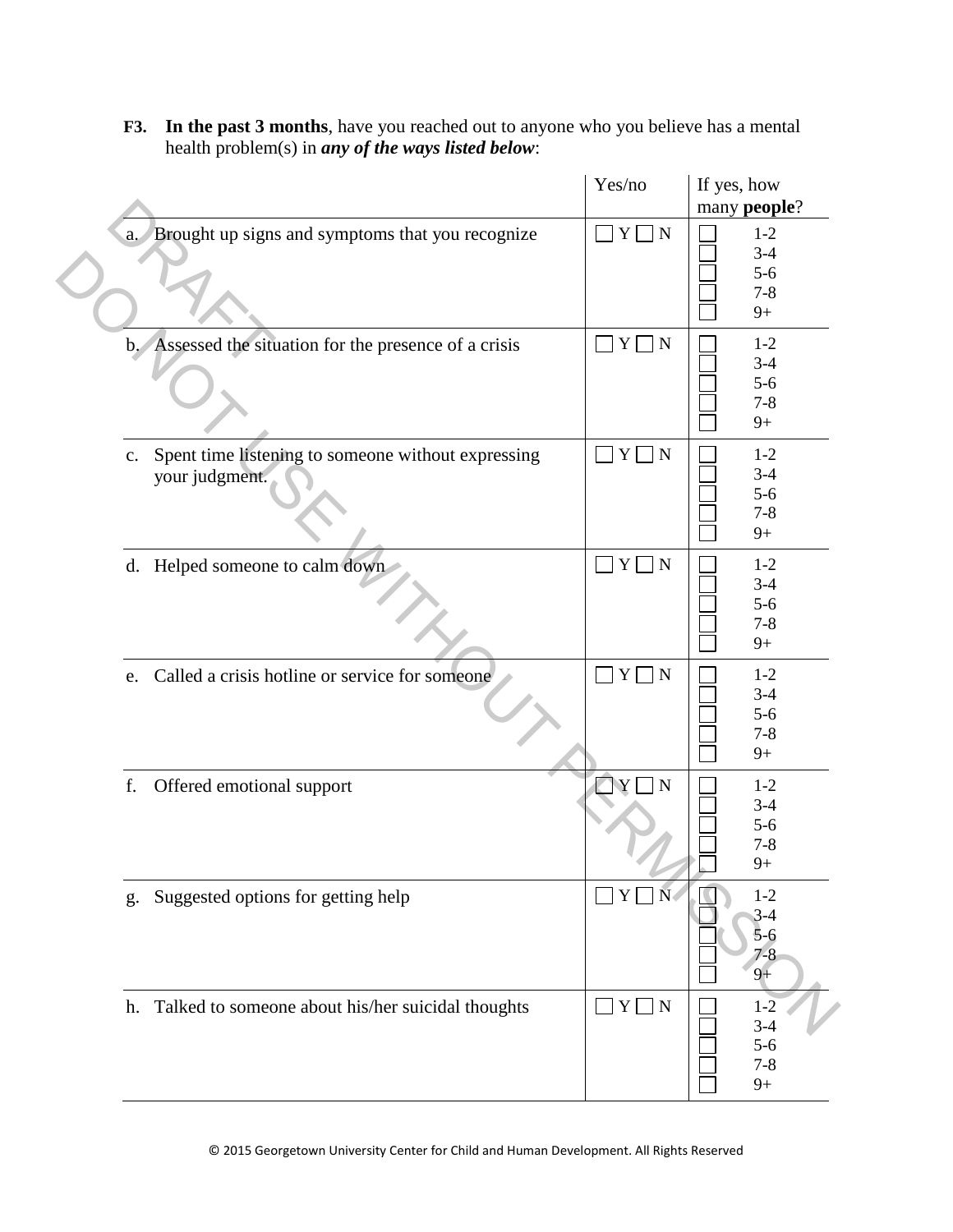**F3. In the past 3 months**, have you reached out to anyone who you believe has a mental health problem(s) in *any of the ways listed below*:

|                                                                                     | Yes/no                | If yes, how<br>many people?                  |
|-------------------------------------------------------------------------------------|-----------------------|----------------------------------------------|
| a. Brought up signs and symptoms that you recognize                                 | $Y \square N$         | $1 - 2$<br>$3-4$<br>$5-6$<br>$7 - 8$<br>$9+$ |
| b. Assessed the situation for the presence of a crisis                              | $Y \vert$<br>$\neg N$ | $1 - 2$<br>$3-4$<br>$5-6$<br>$7 - 8$<br>$9+$ |
| Spent time listening to someone without expressing<br>$c_{\cdot}$<br>your judgment. | Y<br>$\Box$ N         | $1-2$<br>$3-4$<br>$5-6$<br>$7 - 8$<br>$9+$   |
| d. Helped someone to calm down                                                      | $Y \square N$         | $1 - 2$<br>$3-4$<br>$5-6$<br>$7 - 8$<br>$9+$ |
| Called a crisis hotline or service for someone<br>e.                                | $Y \cap N$            | $1 - 2$<br>$3-4$<br>$5-6$<br>$7 - 8$<br>$9+$ |
| f.<br>Offered emotional support                                                     | Y<br>$\neg N$         | $1 - 2$<br>$3-4$<br>$5-6$<br>$7 - 8$<br>$9+$ |
| Suggested options for getting help<br>g.                                            | $Y \square N$         | $1 - 2$<br>$3 - 4$<br>$5-6$<br>$7-8$<br>$9+$ |
| Talked to someone about his/her suicidal thoughts<br>h.                             | $Y \Box N$            | $1 - 2$<br>$3-4$<br>$5-6$<br>$7 - 8$<br>$9+$ |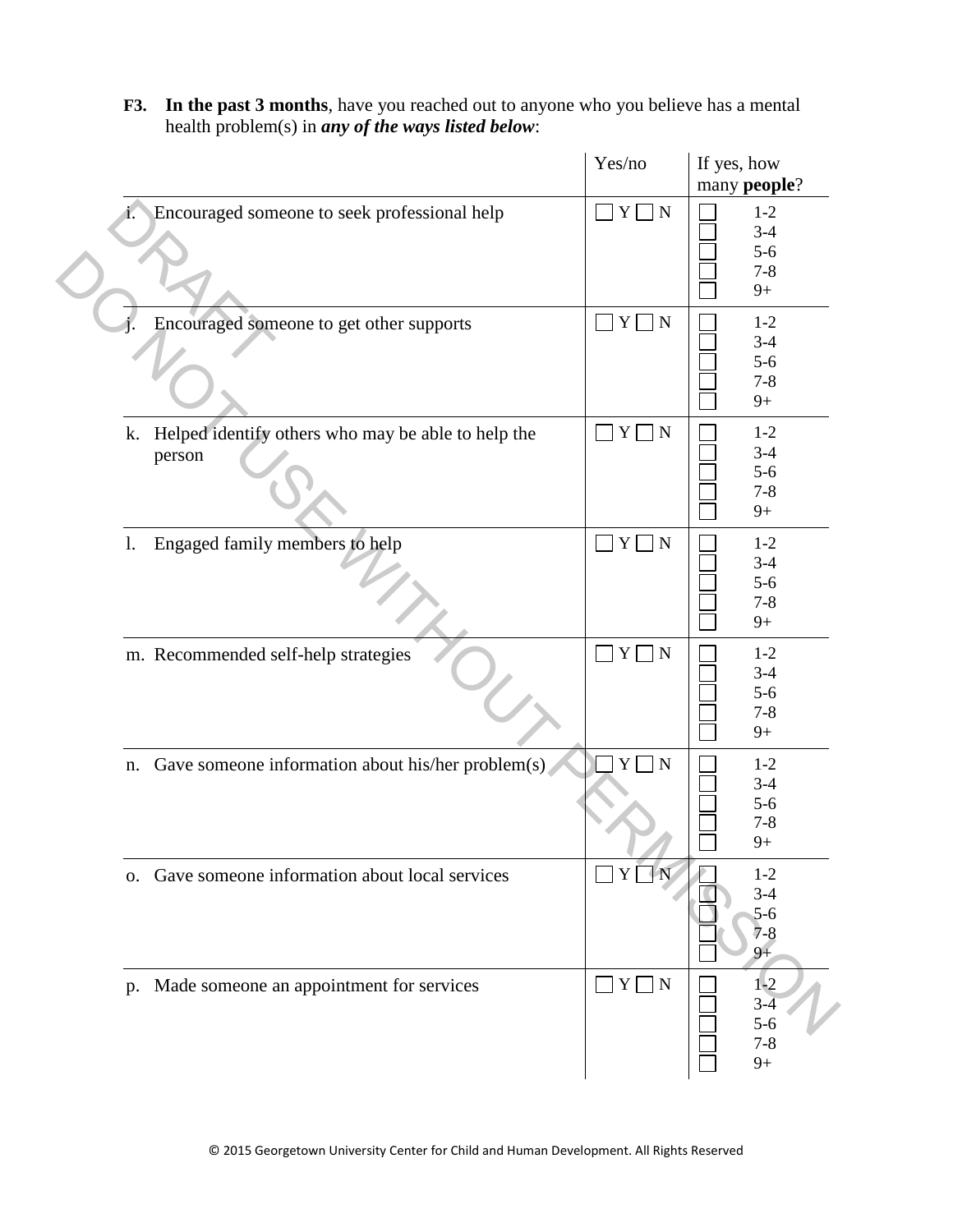**F3. In the past 3 months**, have you reached out to anyone who you believe has a mental health problem(s) in *any of the ways listed below*:

|                                                                 | Yes/no                        | If yes, how<br>many people?                     |
|-----------------------------------------------------------------|-------------------------------|-------------------------------------------------|
| Encouraged someone to seek professional help                    | $Y \Box Y$                    | $1 - 2$<br>$3-4$<br>$5-6$<br>$7 - 8$<br>$9+$    |
| $\mathbf{j}$ .<br>Encouraged someone to get other supports      | $Y \square N$                 | $1 - 2$<br>$3-4$<br>$5-6$<br>$7 - 8$<br>$9+$    |
| k. Helped identify others who may be able to help the<br>person | $Y \square N$                 | $1-2$<br>$3-4$<br>$5-6$<br>$7 - 8$<br>$9+$      |
| Engaged family members to help<br>1.                            | $Y \square N$                 | $1-2$<br>$3-4$<br>$5-6$<br>$7 - 8$<br>$9+$      |
| m. Recommended self-help strategies                             | $Y \vert$<br>$\blacksquare$ N | $1 - 2$<br>$3-4$<br>$5-6$<br>$7 - 8$<br>$9+$    |
| Gave someone information about his/her problem(s)<br>n.         | $Y \Box N$                    | $1-2$<br>$3-4$<br>$5-6$<br>$7 - 8$<br>$9+$      |
| o. Gave someone information about local services                | Y                             | $1 - 2$<br>$3-4$<br>$5 - 6$<br>$7-8$<br>$9^{+}$ |
| p. Made someone an appointment for services                     | $Y \Box Y$                    | $1 - 2$<br>3-4<br>$5 - 6$<br>$7 - 8$<br>$9+$    |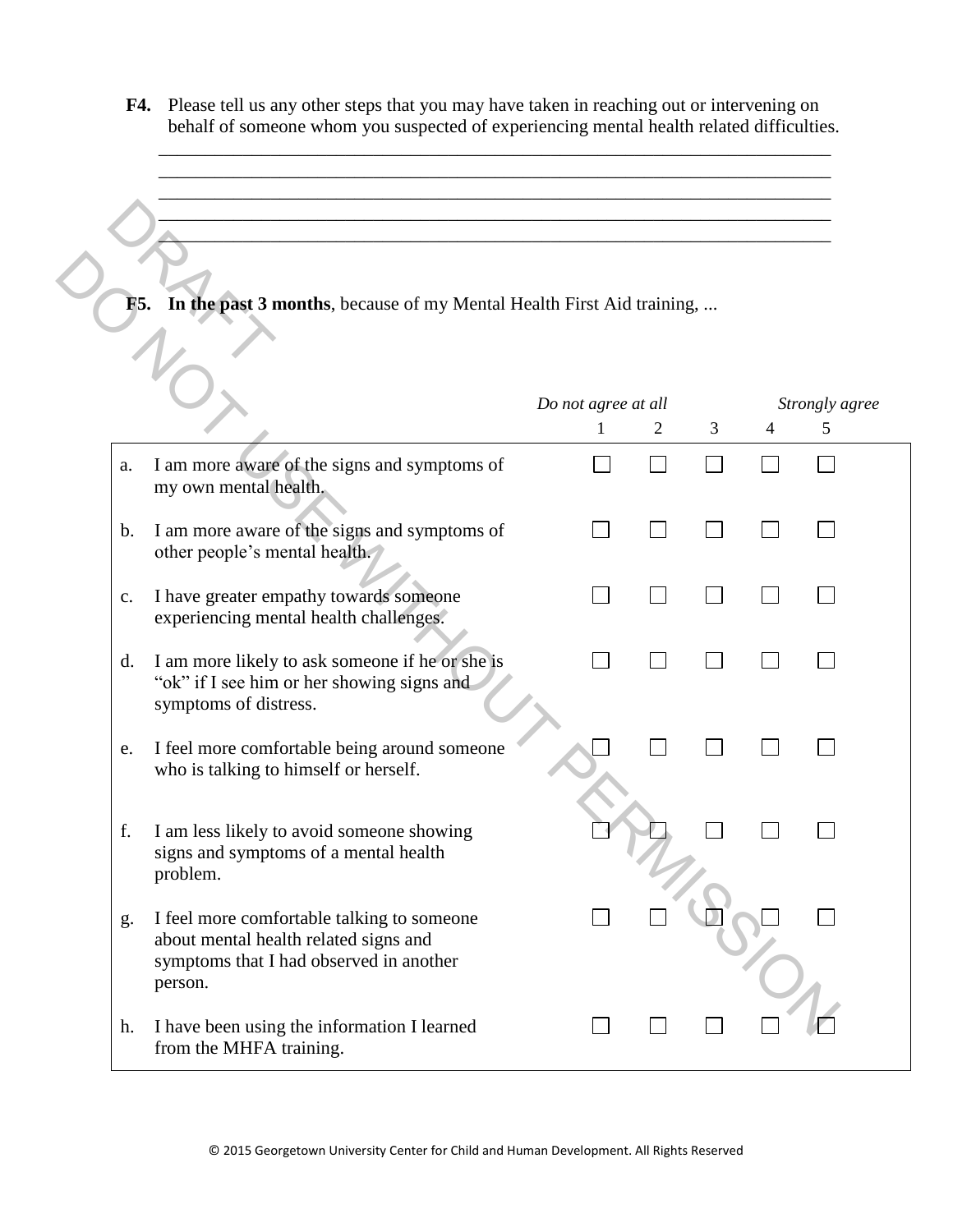**F4.** Please tell us any other steps that you may have taken in reaching out or intervening on behalf of someone whom you suspected of experiencing mental health related difficulties.

**F5.** In the past 3 months, because of my Mental Health First Aid training, ...

 \_\_\_\_\_\_\_\_\_\_\_\_\_\_\_\_\_\_\_\_\_\_\_\_\_\_\_\_\_\_\_\_\_\_\_\_\_\_\_\_\_\_\_\_\_\_\_\_\_\_\_\_\_\_\_\_\_\_\_\_\_\_\_\_\_\_\_\_\_\_\_\_ \_\_\_\_\_\_\_\_\_\_\_\_\_\_\_\_\_\_\_\_\_\_\_\_\_\_\_\_\_\_\_\_\_\_\_\_\_\_\_\_\_\_\_\_\_\_\_\_\_\_\_\_\_\_\_\_\_\_\_\_\_\_\_\_\_\_\_\_\_\_\_\_ \_\_\_\_\_\_\_\_\_\_\_\_\_\_\_\_\_\_\_\_\_\_\_\_\_\_\_\_\_\_\_\_\_\_\_\_\_\_\_\_\_\_\_\_\_\_\_\_\_\_\_\_\_\_\_\_\_\_\_\_\_\_\_\_\_\_\_\_\_\_\_\_ \_\_\_\_\_\_\_\_\_\_\_\_\_\_\_\_\_\_\_\_\_\_\_\_\_\_\_\_\_\_\_\_\_\_\_\_\_\_\_\_\_\_\_\_\_\_\_\_\_\_\_\_\_\_\_\_\_\_\_\_\_\_\_\_\_\_\_\_\_\_\_\_  $\blacktriangle$  . The contract of the contract of the contract of the contract of the contract of the contract of the contract of the contract of the contract of the contract of the contract of the contract of the contract of the c

*Do not agree at all Strongly agree* 1 2 3 4 5 a. I am more aware of the signs and symptoms of my own mental health. b. I am more aware of the signs and symptoms of other people's mental health. c. I have greater empathy towards someone experiencing mental health challenges. d. I am more likely to ask someone if he or she is "ok" if I see him or her showing signs and symptoms of distress. e. I feel more comfortable being around someone who is talking to himself or herself. f. I am less likely to avoid someone showing signs and symptoms of a mental health problem. g. I feel more comfortable talking to someone about mental health related signs and symptoms that I had observed in another person. h. I have been using the information I learned from the MHFA training. F5. In the past 3 i Considerate a more integral and symptoms of the signs and symptoms of<br>
Do not agree at all<br>
a lam more aware of the signs and symptoms of<br>
Do not agree at all<br>
a lam more aware of the signs and symptoms of<br>
Do not agree a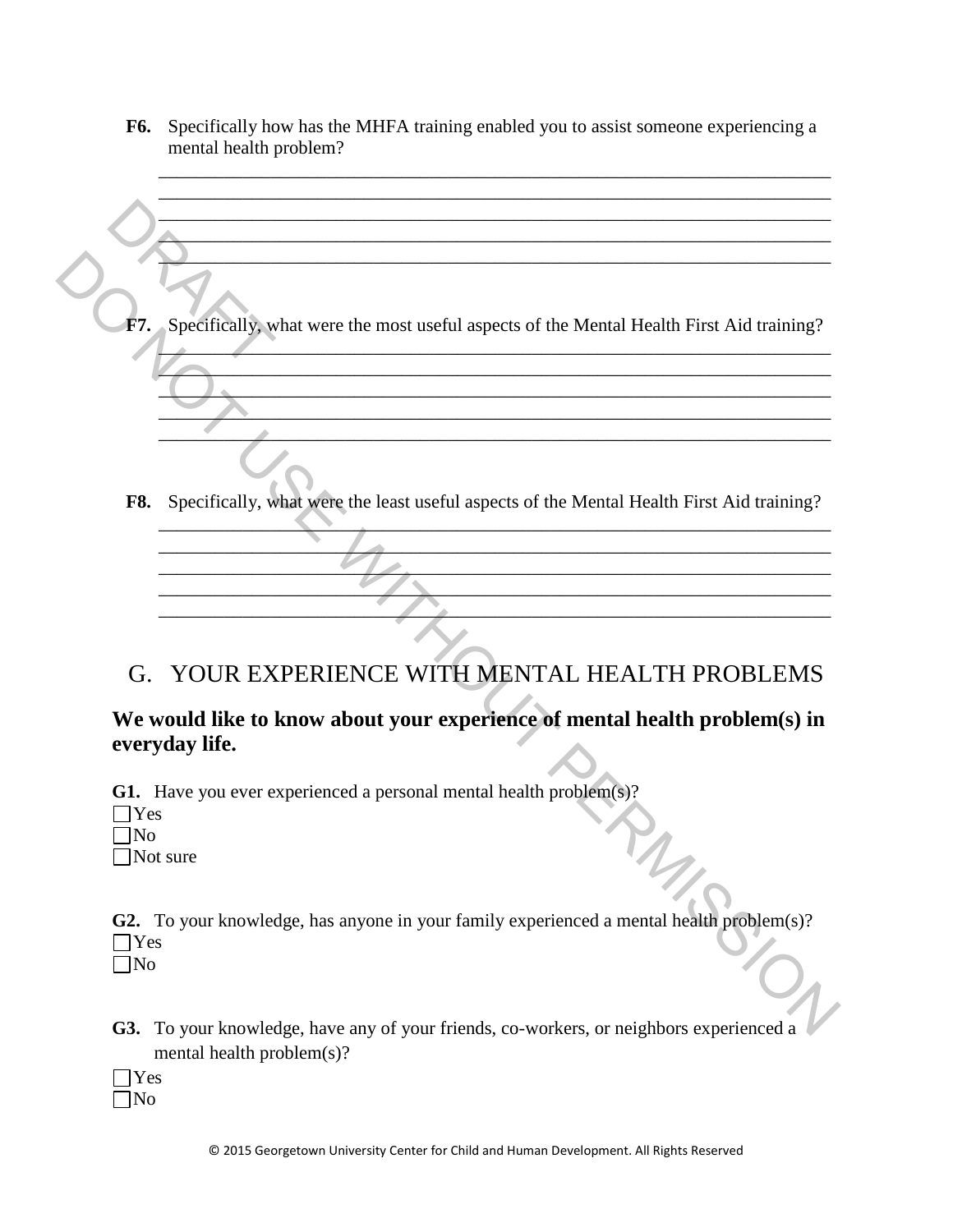**F6.** Specifically how has the MHFA training enabled you to assist someone experiencing a mental health problem?

 \_\_\_\_\_\_\_\_\_\_\_\_\_\_\_\_\_\_\_\_\_\_\_\_\_\_\_\_\_\_\_\_\_\_\_\_\_\_\_\_\_\_\_\_\_\_\_\_\_\_\_\_\_\_\_\_\_\_\_\_\_\_\_\_\_\_\_\_\_\_\_\_ \_\_\_\_\_\_\_\_\_\_\_\_\_\_\_\_\_\_\_\_\_\_\_\_\_\_\_\_\_\_\_\_\_\_\_\_\_\_\_\_\_\_\_\_\_\_\_\_\_\_\_\_\_\_\_\_\_\_\_\_\_\_\_\_\_\_\_\_\_\_\_\_ \_\_\_\_\_\_\_\_\_\_\_\_\_\_\_\_\_\_\_\_\_\_\_\_\_\_\_\_\_\_\_\_\_\_\_\_\_\_\_\_\_\_\_\_\_\_\_\_\_\_\_\_\_\_\_\_\_\_\_\_\_\_\_\_\_\_\_\_\_\_\_\_  $\blacktriangle$  . The contract of the contract of the contract of the contract of the contract of the contract of the contract of the contract of the contract of the contract of the contract of the contract of the contract of the c \_\_\_\_\_\_\_\_\_\_\_\_\_\_\_\_\_\_\_\_\_\_\_\_\_\_\_\_\_\_\_\_\_\_\_\_\_\_\_\_\_\_\_\_\_\_\_\_\_\_\_\_\_\_\_\_\_\_\_\_\_\_\_\_\_\_\_\_\_\_\_\_

Specifically, what were the most useful aspects of the Mental Health First Aid training?  $\Box$ R. Specifically, w

 $\overline{\phantom{a}}$  $\mathcal{L}=\left\{ \begin{array}{cc} 0 & 0 & 0 \\ 0 & 0 & 0 \\ 0 & 0 & 0 \\ 0 & 0 & 0 \\ 0 & 0 & 0 \\ 0 & 0 & 0 \\ 0 & 0 & 0 \\ 0 & 0 & 0 \\ 0 & 0 & 0 \\ 0 & 0 & 0 \\ 0 & 0 & 0 \\ 0 & 0 & 0 \\ 0 & 0 & 0 & 0 \\ 0 & 0 & 0 & 0 \\ 0 & 0 & 0 & 0 \\ 0 & 0 & 0 & 0 \\ 0 & 0 & 0 & 0 & 0 \\ 0 & 0 & 0 & 0 & 0 \\ 0 & 0 & 0 & 0 & 0 \\ 0$  $\overline{\phantom{a}}$  $\overline{\phantom{a}}$  ,  $\overline{\phantom{a}}$  ,  $\overline{\phantom{a}}$  ,  $\overline{\phantom{a}}$  ,  $\overline{\phantom{a}}$  ,  $\overline{\phantom{a}}$  ,  $\overline{\phantom{a}}$  ,  $\overline{\phantom{a}}$  ,  $\overline{\phantom{a}}$  ,  $\overline{\phantom{a}}$  ,  $\overline{\phantom{a}}$  ,  $\overline{\phantom{a}}$  ,  $\overline{\phantom{a}}$  ,  $\overline{\phantom{a}}$  ,  $\overline{\phantom{a}}$  ,  $\overline{\phantom{a}}$ 

**F8.** Specifically, what were the least useful aspects of the Mental Health First Aid training?



 $\left\{ \sum_{i=1}^n x_i, x_i \in \mathbb{R}^N \right\}$ 

G. YOUR EXPERIENCE WITH MENTAL HEALTH PROBLEMS

### **We would like to know about your experience of mental health problem(s) in everyday life.**

**G1.** Have you ever experienced a personal mental health problem(s)?  $\Box$ Yes  $\Box$ No

| $ $ $ $ Yes     |                                                                                          |
|-----------------|------------------------------------------------------------------------------------------|
|                 |                                                                                          |
| $\Box$ Not sure |                                                                                          |
|                 |                                                                                          |
|                 | G2. To your knowledge, has anyone in your family experienced a mental health problem(s)? |
| $\Box$ Yes      |                                                                                          |
|                 |                                                                                          |

- **G3.** To your knowledge, have any of your friends, co-workers, or neighbors experienced a mental health problem(s)?
- Yes  $\Box$ No